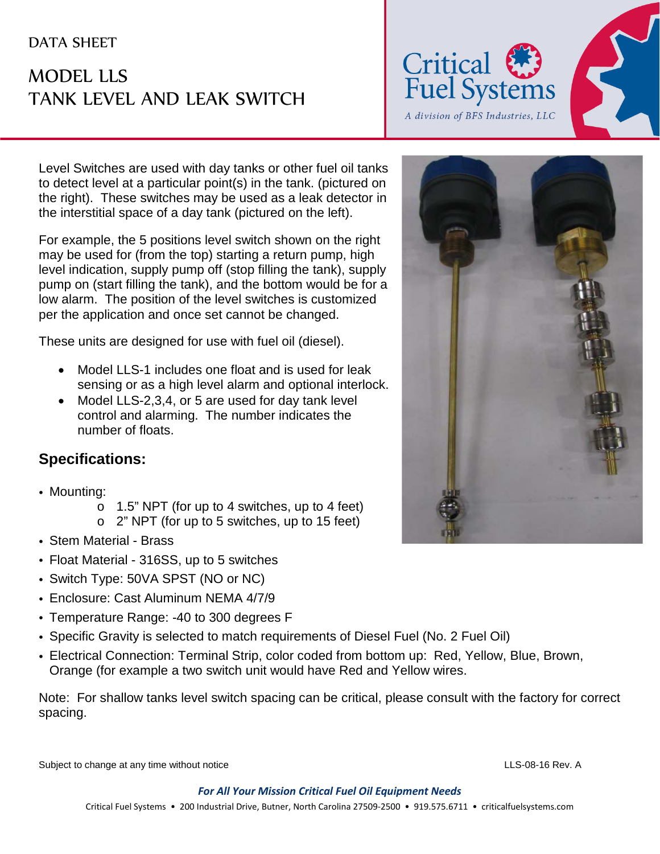## DATA SHEET

## MODEL LLS TANK LEVEL AND LEAK SWITCH



Level Switches are used with day tanks or other fuel oil tanks to detect level at a particular point(s) in the tank. (pictured on the right). These switches may be used as a leak detector in the interstitial space of a day tank (pictured on the left).

For example, the 5 positions level switch shown on the right may be used for (from the top) starting a return pump, high level indication, supply pump off (stop filling the tank), supply pump on (start filling the tank), and the bottom would be for a low alarm. The position of the level switches is customized per the application and once set cannot be changed.

These units are designed for use with fuel oil (diesel).

- Model LLS-1 includes one float and is used for leak sensing or as a high level alarm and optional interlock.
- Model LLS-2,3,4, or 5 are used for day tank level control and alarming. The number indicates the number of floats.

## **Specifications:**

- Mounting:
	- $\circ$  1.5" NPT (for up to 4 switches, up to 4 feet)
	- o 2" NPT (for up to 5 switches, up to 15 feet)
- Stem Material Brass
- Float Material 316SS, up to 5 switches
- Switch Type: 50VA SPST (NO or NC)
- Enclosure: Cast Aluminum NEMA 4/7/9
- Temperature Range: -40 to 300 degrees F
- Specific Gravity is selected to match requirements of Diesel Fuel (No. 2 Fuel Oil)
- Electrical Connection: Terminal Strip, color coded from bottom up: Red, Yellow, Blue, Brown, Orange (for example a two switch unit would have Red and Yellow wires.

Note: For shallow tanks level switch spacing can be critical, please consult with the factory for correct spacing.

Subject to change at any time without notice **LLS-08-16 Rev. A** CLS-08-16 Rev. A

*For All Your Mission Critical Fuel Oil Equipment Needs*